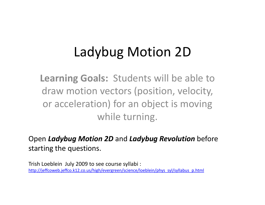## Ladybug Motion 2D

**Learning Goals:** Students will be able to draw motion vectors (position, velocity, or acceleration) for an object is moving while turning.

Open *Ladybug Motion 2D* and *Ladybug Revolution* before starting the questions.

Trish Loeblein July 2009 to see course syllabi : http://jeffcoweb.jeffco.k12.co.us/high/evergreen/science/loeblein/phys\_syl/syllabus\_p.html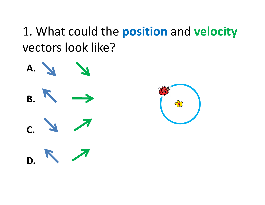## 1. What could the **position** and **velocity** vectors look like?



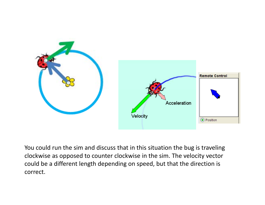

You could run the sim and discuss that in this situation the bug is traveling clockwise as opposed to counter clockwise in the sim. The velocity vector could be a different length depending on speed, but that the direction is correct.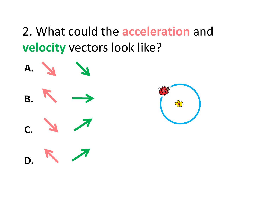2. What could the **acceleration** and **velocity** vectors look like?

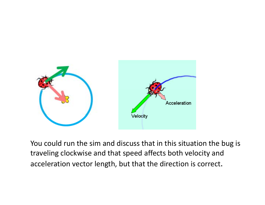

You could run the sim and discuss that in this situation the bug is traveling clockwise and that speed affects both velocity and acceleration vector length, but that the direction is correct.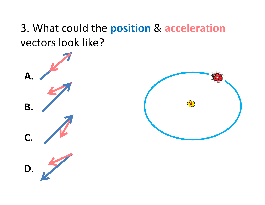## 3. What could the **position** & **acceleration** vectors look like?

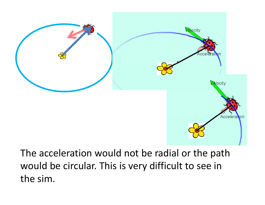

The acceleration would not be radial or the path would be circular. This is very difficult to see in the sim.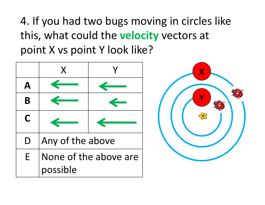4. If you had two bugs moving in circles like this, what could the **velocity** vectors at point X vs point Y look like?